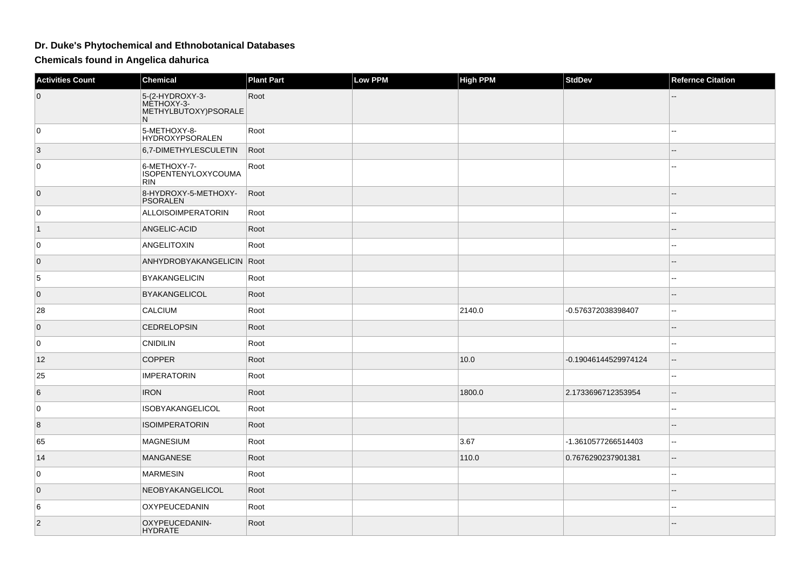## **Dr. Duke's Phytochemical and Ethnobotanical Databases**

**Chemicals found in Angelica dahurica**

| <b>Activities Count</b> | <b>Chemical</b>                                             | <b>Plant Part</b> | Low PPM | <b>High PPM</b> | <b>StdDev</b>        | <b>Refernce Citation</b>                      |
|-------------------------|-------------------------------------------------------------|-------------------|---------|-----------------|----------------------|-----------------------------------------------|
| $\overline{0}$          | 5-(2-HYDROXY-3-<br>MÈTHOXY-3-<br>METHYLBUTOXY)PSORALE<br>N. | Root              |         |                 |                      |                                               |
| 0                       | 5-METHOXY-8-<br><b>HYDROXYPSORALEN</b>                      | Root              |         |                 |                      |                                               |
| 3                       | 6,7-DIMETHYLESCULETIN                                       | Root              |         |                 |                      |                                               |
| 0                       | 6-METHOXY-7-<br><b>ISOPENTENYLOXYCOUMA</b><br><b>RIN</b>    | Root              |         |                 |                      |                                               |
| $\overline{0}$          | 8-HYDROXY-5-METHOXY-<br><b>PSORALEN</b>                     | Root              |         |                 |                      | $=$                                           |
| 0                       | ALLOISOIMPERATORIN                                          | Root              |         |                 |                      | $\overline{a}$                                |
| $\vert$ 1               | ANGELIC-ACID                                                | Root              |         |                 |                      |                                               |
| 0                       | <b>ANGELITOXIN</b>                                          | Root              |         |                 |                      | 44                                            |
| $\overline{0}$          | ANHYDROBYAKANGELICIN   Root                                 |                   |         |                 |                      | $\overline{a}$                                |
| 5                       | <b>BYAKANGELICIN</b>                                        | Root              |         |                 |                      |                                               |
| $\overline{0}$          | <b>BYAKANGELICOL</b>                                        | Root              |         |                 |                      |                                               |
| 28                      | <b>CALCIUM</b>                                              | Root              |         | 2140.0          | -0.576372038398407   | 44                                            |
| 0                       | <b>CEDRELOPSIN</b>                                          | Root              |         |                 |                      |                                               |
| 0                       | <b>CNIDILIN</b>                                             | Root              |         |                 |                      | --                                            |
| 12                      | <b>COPPER</b>                                               | Root              |         | 10.0            | -0.19046144529974124 | $\overline{a}$                                |
| 25                      | <b>IMPERATORIN</b>                                          | Root              |         |                 |                      | $\overline{\phantom{a}}$                      |
| 6                       | <b>IRON</b>                                                 | Root              |         | 1800.0          | 2.1733696712353954   | $\mathord{\hspace{1pt}\text{--}\hspace{1pt}}$ |
| 0                       | <b>ISOBYAKANGELICOL</b>                                     | Root              |         |                 |                      | $\frac{1}{2}$                                 |
| $\overline{8}$          | <b>ISOIMPERATORIN</b>                                       | Root              |         |                 |                      | $-$                                           |
| 65                      | <b>MAGNESIUM</b>                                            | Root              |         | 3.67            | -1.3610577266514403  | 44                                            |
| 14                      | <b>MANGANESE</b>                                            | Root              |         | 110.0           | 0.7676290237901381   | $-$                                           |
| 0                       | <b>MARMESIN</b>                                             | Root              |         |                 |                      | $\overline{a}$                                |
| $\overline{0}$          | NEOBYAKANGELICOL                                            | Root              |         |                 |                      | --                                            |
| 6                       | OXYPEUCEDANIN                                               | Root              |         |                 |                      | $\sim$                                        |
| $\vert$ 2               | OXYPEUCEDANIN-<br><b>HYDRATE</b>                            | Root              |         |                 |                      |                                               |